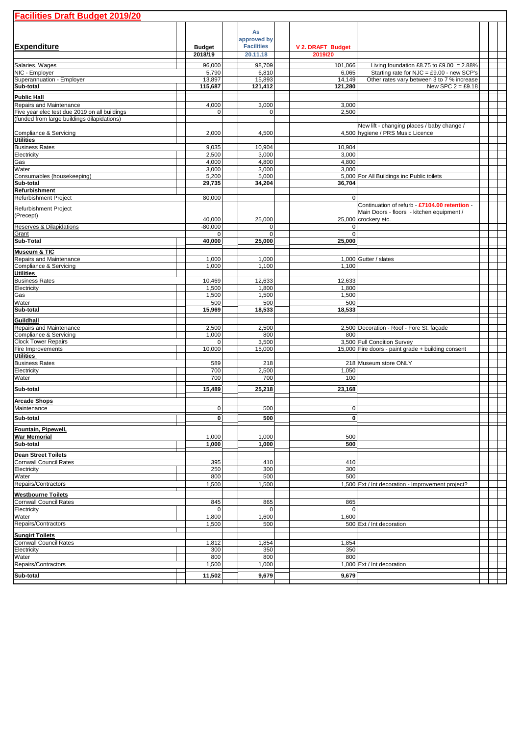| <b>Facilities Draft Budget 2019/20</b>                                   |                       |  |                     |  |                    |                                                    |  |  |  |  |  |  |
|--------------------------------------------------------------------------|-----------------------|--|---------------------|--|--------------------|----------------------------------------------------|--|--|--|--|--|--|
|                                                                          |                       |  |                     |  |                    |                                                    |  |  |  |  |  |  |
|                                                                          |                       |  | As<br>approved by   |  |                    |                                                    |  |  |  |  |  |  |
| <b>Expenditure</b>                                                       | <b>Budget</b>         |  | <b>Facilities</b>   |  | V 2. DRAFT Budget  |                                                    |  |  |  |  |  |  |
|                                                                          | 2018/19               |  | 20.11.18            |  | 2019/20            |                                                    |  |  |  |  |  |  |
| Salaries, Wages                                                          | 96,000                |  | 98,709              |  | 101.066            | Living foundation £8.75 to £9.00 = 2.88%           |  |  |  |  |  |  |
| NIC - Employer                                                           | 5,790                 |  | 6,810               |  | 6,065              | Starting rate for NJC = £9.00 - new SCP's          |  |  |  |  |  |  |
| Superannuation - Employer                                                | 13,897                |  | 15,893              |  | 14,149             | Other rates vary between 3 to 7 % increase         |  |  |  |  |  |  |
| Sub-total                                                                | 115,687               |  | 121,412             |  | 121,280            | New SPC $2 = £9.18$                                |  |  |  |  |  |  |
| <b>Public Hall</b>                                                       |                       |  |                     |  |                    |                                                    |  |  |  |  |  |  |
| Repairs and Maintenance<br>Five year elec test due 2019 on all buildings | 4,000<br>$\mathbf{0}$ |  | 3,000<br>0          |  | 3,000<br>2,500     |                                                    |  |  |  |  |  |  |
| (funded from large buildings dilapidations)                              |                       |  |                     |  |                    |                                                    |  |  |  |  |  |  |
|                                                                          |                       |  |                     |  |                    | New lift - changing places / baby change /         |  |  |  |  |  |  |
| Compliance & Servicing<br><b>Utilities</b>                               | 2,000                 |  | 4,500               |  |                    | 4,500 hygiene / PRS Music Licence                  |  |  |  |  |  |  |
| <b>Business Rates</b>                                                    | 9,035                 |  | 10,904              |  | 10,904             |                                                    |  |  |  |  |  |  |
| Electricity                                                              | 2,500                 |  | 3,000               |  | 3,000              |                                                    |  |  |  |  |  |  |
| Gas                                                                      | 4,000                 |  | 4,800               |  | 4,800              |                                                    |  |  |  |  |  |  |
| Water                                                                    | 3,000                 |  | 3,000               |  | 3,000              |                                                    |  |  |  |  |  |  |
| Consumables (housekeeping)<br>Sub-total                                  | 5,200<br>29,735       |  | 5,000<br>34,204     |  | 36,704             | 5,000 For All Buildings inc Public toilets         |  |  |  |  |  |  |
| Refurbishment                                                            |                       |  |                     |  |                    |                                                    |  |  |  |  |  |  |
| Refurbishment Project                                                    | 80,000                |  |                     |  | $\mathbf 0$        |                                                    |  |  |  |  |  |  |
| Refurbishment Project                                                    |                       |  |                     |  |                    | Continuation of refurb - £7104.00 retention -      |  |  |  |  |  |  |
| (Precept)                                                                |                       |  |                     |  |                    | Main Doors - floors - kitchen equipment /          |  |  |  |  |  |  |
| Reserves & Dilapidations                                                 | 40,000<br>$-80,000$   |  | 25,000<br>$\pmb{0}$ |  | 0                  | 25,000 crockery etc.                               |  |  |  |  |  |  |
| Grant                                                                    | $\mathbf 0$           |  | $\overline{0}$      |  | $\mathbf 0$        |                                                    |  |  |  |  |  |  |
| Sub-Total                                                                | 40,000                |  | 25,000              |  | 25,000             |                                                    |  |  |  |  |  |  |
| Museum & TIC                                                             |                       |  |                     |  |                    |                                                    |  |  |  |  |  |  |
| Repairs and Maintenance                                                  | 1,000                 |  | 1,000               |  |                    | 1,000 Gutter / slates                              |  |  |  |  |  |  |
| Compliance & Servicing                                                   | 1,000                 |  | 1,100               |  | 1,100              |                                                    |  |  |  |  |  |  |
| <b>Utilities</b>                                                         |                       |  |                     |  |                    |                                                    |  |  |  |  |  |  |
| <b>Business Rates</b><br>Electricity                                     | 10,469<br>1,500       |  | 12,633<br>1,800     |  | 12,633<br>1,800    |                                                    |  |  |  |  |  |  |
| Gas                                                                      | 1,500                 |  | 1,500               |  | 1,500              |                                                    |  |  |  |  |  |  |
| Water                                                                    | 500                   |  | 500                 |  | 500                |                                                    |  |  |  |  |  |  |
| Sub-total                                                                | 15,969                |  | 18,533              |  | 18,533             |                                                    |  |  |  |  |  |  |
| Guildhall                                                                |                       |  |                     |  |                    |                                                    |  |  |  |  |  |  |
| Repairs and Maintenance                                                  | 2,500                 |  | 2,500               |  |                    | 2,500 Decoration - Roof - Fore St. façade          |  |  |  |  |  |  |
| Compliance & Servicing<br><b>Clock Tower Repairs</b>                     | 1,000                 |  | 800                 |  | 800                | 3,500 Full Condition Survey                        |  |  |  |  |  |  |
| Fire Improvements                                                        | $\mathbf 0$<br>10,000 |  | 3,500<br>15,000     |  |                    | 15,000 Fire doors - paint grade + building consent |  |  |  |  |  |  |
| <b>Utilities</b>                                                         |                       |  |                     |  |                    |                                                    |  |  |  |  |  |  |
| <b>Business Rates</b>                                                    | 589                   |  | 218                 |  |                    | 218 Museum store ONLY                              |  |  |  |  |  |  |
| Electricity                                                              | 700                   |  | 2,500               |  | 1,050              |                                                    |  |  |  |  |  |  |
| Water                                                                    | 700                   |  | 700                 |  | 100                |                                                    |  |  |  |  |  |  |
| Sub-total                                                                | 15,489                |  | 25,218              |  | 23,168             |                                                    |  |  |  |  |  |  |
| <b>Arcade Shops</b>                                                      |                       |  |                     |  |                    |                                                    |  |  |  |  |  |  |
| Maintenance                                                              | $\mathbf 0$           |  | 500                 |  | 0                  |                                                    |  |  |  |  |  |  |
| Sub-total                                                                | $\mathbf{0}$          |  | 500                 |  | $\mathbf{0}$       |                                                    |  |  |  |  |  |  |
| Fountain, Pipewell,                                                      |                       |  |                     |  |                    |                                                    |  |  |  |  |  |  |
| War Memorial                                                             | 1,000                 |  | 1,000               |  | 500                |                                                    |  |  |  |  |  |  |
| Sub-total                                                                | 1,000                 |  | 1,000               |  | 500                |                                                    |  |  |  |  |  |  |
| <b>Dean Street Toilets</b>                                               |                       |  |                     |  |                    |                                                    |  |  |  |  |  |  |
| <b>Cornwall Council Rates</b>                                            | 395                   |  | 410                 |  | 410                |                                                    |  |  |  |  |  |  |
| Electricity                                                              | 250                   |  | 300                 |  | 300                |                                                    |  |  |  |  |  |  |
| Water                                                                    | 800                   |  | 500                 |  | 500                |                                                    |  |  |  |  |  |  |
| Repairs/Contractors                                                      | 1,500                 |  | 1,500               |  |                    | 1,500 Ext / Int decoration - Improvement project?  |  |  |  |  |  |  |
| <b>Westbourne Toilets</b>                                                |                       |  |                     |  |                    |                                                    |  |  |  |  |  |  |
| <b>Cornwall Council Rates</b><br>Electricity                             | 845<br>$\mathbf{0}$   |  | 865<br>0            |  | 865<br>$\mathbf 0$ |                                                    |  |  |  |  |  |  |
| Water                                                                    | 1,800                 |  | 1,600               |  | 1,600              |                                                    |  |  |  |  |  |  |
| Repairs/Contractors                                                      | 1,500                 |  | 500                 |  |                    | 500 Ext / Int decoration                           |  |  |  |  |  |  |
| <b>Sungirt Toilets</b>                                                   |                       |  |                     |  |                    |                                                    |  |  |  |  |  |  |
| <b>Cornwall Council Rates</b>                                            | 1,812                 |  | 1,854               |  | 1,854              |                                                    |  |  |  |  |  |  |
| Electricity                                                              | 300                   |  | 350                 |  | 350                |                                                    |  |  |  |  |  |  |
| Water                                                                    | 800                   |  | 800                 |  | 800                |                                                    |  |  |  |  |  |  |
| Repairs/Contractors                                                      | 1,500                 |  | 1,000               |  |                    | 1,000 Ext / Int decoration                         |  |  |  |  |  |  |
| Sub-total                                                                | 11,502                |  | 9,679               |  | 9,679              |                                                    |  |  |  |  |  |  |
|                                                                          |                       |  |                     |  |                    |                                                    |  |  |  |  |  |  |